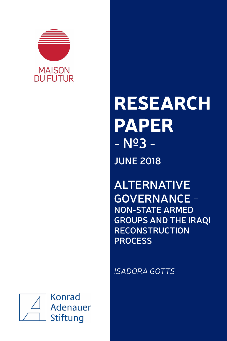

# RESEARCH PAPER **- Nº3 - JUNE 2018**

**ALTERNATIVE GOVERNANCE** - **NON-STATE ARMED GROUPS AND THE IRAQI RECONSTRUCTION PROCESS**

*ISADORA GOTTS*

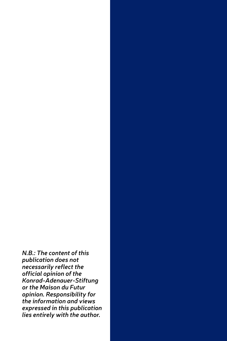*N.B.: The content of this publication does not necessarily reflect the official opinion of the Konrad-Adenauer-Stiftung or the Maison du Futur opinion. Responsibility for the information and views expressed in this publication lies entirely with the author.*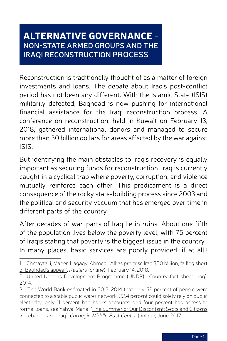# Alternative Governance - **Non-State Armed Groups and the Iraqi Reconstruction Process**

Reconstruction is traditionally thought of as a matter of foreign investments and loans. The debate about Iraq's post-conflict period has not been any different. With the Islamic State (ISIS) militarily defeated, Baghdad is now pushing for international financial assistance for the Iraqi reconstruction process. A conference on reconstruction, held in Kuwait on February 13, 2018, gathered international donors and managed to secure more than 30 billion dollars for areas affected by the war against ISIS.<sup>1</sup>

But identifying the main obstacles to Iraq's recovery is equally important as securing funds for reconstruction. Iraq is currently caught in a cyclical trap where poverty, corruption, and violence mutually reinforce each other. This predicament is a direct consequence of the rocky state-building process since 2003 and the political and security vacuum that has emerged over time in different parts of the country.

After decades of war, parts of Iraq lie in ruins. About one fifth of the population lives below the poverty level, with 75 percent of Iraqis stating that poverty is the biggest issue in the country.<sup>2</sup> In many places, basic services are poorly provided, if at all.<sup>3</sup>

<sup>1</sup> Chmaytelli, Maher, Hagagy, Ahmed: "Allies promise Iraq \$30 [billion, falling](https://www.reuters.com/article/us-mideast-crisis-iraq-reconstruction-ku/allies-promise-iraq-30-billion-falling-short-of-baghdads-appeal-idUSKCN1FY0TX) short of [Baghdad's](https://www.reuters.com/article/us-mideast-crisis-iraq-reconstruction-ku/allies-promise-iraq-30-billion-falling-short-of-baghdads-appeal-idUSKCN1FY0TX) appeal", *Reuters* (online), February 14, 2018.

<sup>2</sup> United Nations Development Programme (UNDP): "Country fact [sheet: Iraq](http://www.iq.undp.org/content/iraq/en/home/countryinfo.html)", 2014.

<sup>3</sup> The World Bank estimated in 2013-2014 that only 52 percent of people were connected to a stable public water network, 22.4 percent could solely rely on public electricity, only 11 percent had banks accounts, and four percent had access to formal loans, see Yahya, Maha: "The Summer of Our [Discontent: Sects](http://carnegie-mec.org/2017/06/30/summer-of-our-discontent-sects-and-citizens-in-lebanon-and-iraq-pub-71396.) and Citizens in [Lebanon](http://carnegie-mec.org/2017/06/30/summer-of-our-discontent-sects-and-citizens-in-lebanon-and-iraq-pub-71396.) and Iraq", *Carnegie Middle East Center* (online), June 2017.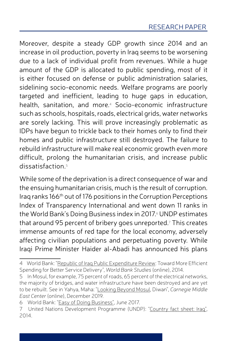Moreover, despite a steady GDP growth since 2014 and an increase in oil production, poverty in Iraq seems to be worsening due to a lack of individual profit from revenues. While a huge amount of the GDP is allocated to public spending, most of it is either focused on defense or public administration salaries, sidelining socio-economic needs. Welfare programs are poorly targeted and inefficient, leading to huge gaps in education, health, sanitation, and more.<sup>4</sup> Socio-economic infrastructure such as schools, hospitals, roads, electrical grids, water networks are sorely lacking. This will prove increasingly problematic as IDPs have begun to trickle back to their homes only to find their homes and public infrastructure still destroyed. The failure to rebuild infrastructure will make real economic growth even more difficult, prolong the humanitarian crisis, and increase public dissatisfaction.<sup>5</sup>

While some of the deprivation is a direct consequence of war and the ensuing humanitarian crisis, much is the result of corruption. Iraq ranks 166th out of 176 positions in the Corruption Perceptions Index of Transparency International and went down 11 ranks in the World Bank's Doing Business index in 2017.<sup>6</sup> UNDP estimates that around 95 percent of bribery goes unreported.<sup>7</sup> This creates immense amounts of red tape for the local economy, adversely affecting civilian populations and perpetuating poverty. While Iraqi Prime Minister Haider al-Abadi has announced his plans

<sup>4</sup> World Bank: "Republic of Iraq Public [Expenditure](http://documents.worldbank.org/curated/en/611781468253505876/Republic-of-Iraq-Public-expenditure-review-toward-more-efficient-spending-for-better-service-delivery) Review: Toward More Efficient Spending for Better Service Delivery", *World Bank Studies* (online), 2014.

<sup>5</sup> In Mosul, for example, 75 percent of roads, 65 percent of the electrical networks, the majority of bridges, and water infrastructure have been destroyed and are yet to be rebuilt. See in Yahya, Maha: ["Looking](http://carnegie-mec.org/diwan/66373) Beyond Mosul, Diwan", *Carnegie Middle East Center* (online), December 2019.

<sup>6</sup> World Bank: "Easy of Doing [Business"](http://www.doingbusiness.org/data/exploreeconomies/iraq), June 2017.

<sup>7</sup> United Nations Development Programme (UNDP): "Country fact [sheet: Iraq](http://www.iq.undp.org/content/iraq/en/home/countryinfo.html)", 2014.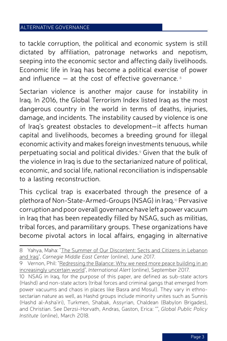to tackle corruption, the political and economic system is still dictated by affiliation, patronage networks and nepotism, seeping into the economic sector and affecting daily livelihoods. Economic life in Iraq has become a political exercise of power and influence  $-$  at the cost of effective governance.<sup>8</sup>

Sectarian violence is another major cause for instability in Iraq. In 2016, the Global Terrorism Index listed Iraq as the most dangerous country in the world in terms of deaths, injuries, damage, and incidents. The instability caused by violence is one of Iraq's greatest obstacles to development—it affects human capital and livelihoods, becomes a breeding ground for illegal economic activity and makes foreign investments tenuous, while perpetuating social and political divides.<sup>9</sup> Given that the bulk of the violence in Iraq is due to the sectarianized nature of political, economic, and social life, national reconciliation is indispensable to a lasting reconstruction.

This cyclical trap is exacerbated through the presence of a plethora of Non-State-Armed-Groups (NSAG) in Iraq.10 Pervasive corruption and poor overall governance have left a power vacuum in Iraq that has been repeatedly filled by NSAG, such as militias, tribal forces, and paramilitary groups. These organizations have become pivotal actors in local affairs, engaging in alternative

<sup>8</sup> Yahya, Maha: "The Summer of Our [Discontent: Sects](http://carnegie-mec.org/2017/06/30/summer-of-our-discontent-sects-and-citizens-in-lebanon-and-iraq-pub-71396.) and Citizens in Lebanon [and](http://carnegie-mec.org/2017/06/30/summer-of-our-discontent-sects-and-citizens-in-lebanon-and-iraq-pub-71396.) Iraq", *Carnegie Middle East Center* (online), June 2017.

<sup>9</sup> Vernon, Phil: "Redressing the [Balance: Why](https://www.international-alert.org/sites/default/files/Organisation_RedressingTheBalance_EN_2017.pdf) we need more peace building in an [increasingly](https://www.international-alert.org/sites/default/files/Organisation_RedressingTheBalance_EN_2017.pdf) uncertain world", *International Alert* (online), September 2017.

<sup>10</sup> NSAG in Iraq, for the purpose of this paper, are defined as sub-state actors (Hashd) and non-state actors (tribal forces and criminal gangs that emerged from power vacuums and chaos in places like Basra and Mosul). They vary in ethnosectarian nature as well, as Hashd groups include minority unites such as Sunnis (Hashd al-Asha'iri), Turkmen, Shabak, Assyrian, Chaldean (Babylon Brigades), and Christian. See Derzsi-Horvath, Andras, Gaston, Erica: "", *Global Public Policy Institute* (online), March 2018.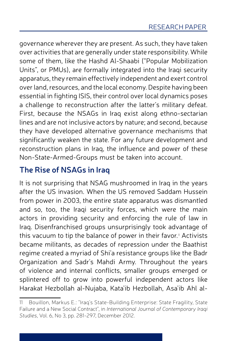governance wherever they are present. As such, they have taken over activities that are generally under state responsibility. While some of them, like the Hashd Al-Shaabi ("Popular Mobilization Units", or PMUs), are formally integrated into the Iraqi security apparatus, they remain effectively independent and exert control over land, resources, and the local economy. Despite having been essential in fighting ISIS, their control over local dynamics poses a challenge to reconstruction after the latter's military defeat. First, because the NSAGs in Iraq exist along ethno-sectarian lines and are not inclusive actors by nature; and second, because they have developed alternative governance mechanisms that significantly weaken the state. For any future development and reconstruction plans in Iraq, the influence and power of these Non-State-Armed-Groups must be taken into account.

# **The Rise of NSAGs in Iraq**

It is not surprising that NSAG mushroomed in Iraq in the years after the US invasion. When the US removed Saddam Hussein from power in 2003, the entire state apparatus was dismantled and so, too, the Iraqi security forces, which were the main actors in providing security and enforcing the rule of law in Iraq. Disenfranchised groups unsurprisingly took advantage of this vacuum to tip the balance of power in their favor.<sup>11</sup> Activists became militants, as decades of repression under the Baathist regime created a myriad of Shi'a resistance groups like the Badr Organization and Sadr's Mahdi Army. Throughout the years of violence and internal conflicts, smaller groups emerged or splintered off to grow into powerful independent actors like Harakat Hezbollah al-Nujaba, Kata'ib Hezbollah, Asa'ib Ahl al-

<sup>11</sup> Bouillon, Markus E.: "Iraq's State-Building Enterprise: State Fragility, State Failure and a New Social Contract", in *International Journal of Contemporary Iraqi Studies*, Vol. 6, No 3, pp. 281-297, December 2012.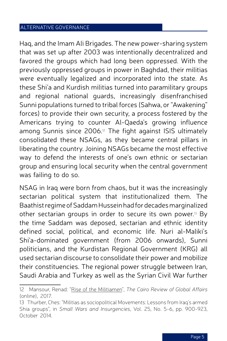Haq, and the Imam Ali Brigades. The new power-sharing system that was set up after 2003 was intentionally decentralized and favored the groups which had long been oppressed. With the previously oppressed groups in power in Baghdad, their militias were eventually legalized and incorporated into the state. As these Shi'a and Kurdish militias turned into paramilitary groups and regional national guards, increasingly disenfranchised Sunni populations turned to tribal forces (Sahwa, or "Awakening" forces) to provide their own security, a process fostered by the Americans trying to counter Al-Qaeda's growing influence among Sunnis since 2006.<sup>12</sup> The fight against ISIS ultimately consolidated these NSAGs, as they became central pillars in liberating the country. Joining NSAGs became the most effective way to defend the interests of one's own ethnic or sectarian group and ensuring local security when the central government was failing to do so.

NSAG in Iraq were born from chaos, but it was the increasingly sectarian political system that institutionalized them. The Baathist regime of Saddam Hussein had for decades marginalized other sectarian groups in order to secure its own power.<sup>13</sup> By the time Saddam was deposed, sectarian and ethnic identity defined social, political, and economic life. Nuri al-Maliki's Shi'a-dominated government (from 2006 onwards), Sunni politicians, and the Kurdistan Regional Government (KRG) all used sectarian discourse to consolidate their power and mobilize their constituencies. The regional power struggle between Iran, Saudi Arabia and Turkey as well as the Syrian Civil War further

<sup>12</sup> Mansour, Renad: "Rise of the [Militiamen](https://www.thecairoreview.com/essays/rise-of-the-militiamen/?platform=hootsuite)", *The Cairo Review of Global Affairs*  (online), 2017.

<sup>13</sup> Thurber, Ches: "Militias as sociopolitical Movements: Lessons from Iraq's armed Shia groups", in *Small Wars and Insurgencies*, Vol. 25, No. 5-6, pp. 900-923, October 2014.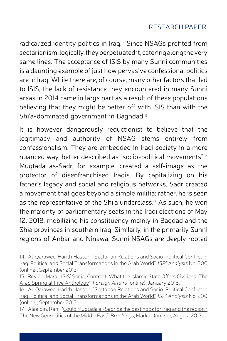radicalized identity politics in Iraq.14 Since NSAGs profited from sectarianism, logically, they perpetuated it, catering along the very same lines. The acceptance of ISIS by many Sunni communities is a daunting example of just how pervasive confessional politics are in Iraq. While there are, of course, many other factors that led to ISIS, the lack of resistance they encountered in many Sunni areas in 2014 came in large part as a result of these populations believing that they might be better off with ISIS than with the Shi'a-dominated government in Baghdad.<sup>15</sup>

It is however dangerously reductionist to believe that the legitimacy and authority of NSAG stems entirely from confessionalism. They are embedded in Iraqi society in a more nuanced way, better described as "socio-political movements".<sup>16</sup> Muqtada as-Sadr, for example, created a self-image as the protector of disenfranchised Iraqis. By capitalizing on his father's legacy and social and religious networks, Sadr created a movement that goes beyond a simple militia; rather, he is seen as the representative of the Shi'a underclass.<sup>17</sup> As such, he won the majority of parliamentary seats in the Iraqi elections of May 12, 2018, mobilizing his constituency mainly in Bagdad and the Shia provinces in southern Iraq. Similarly, in the primarily Sunni regions of Anbar and Ninawa, Sunni NSAGs are deeply rooted

17 Alaaldin, Rani: "Could Mugtada al-Sadr be the best hope for Irag and the region? The New Geopolitics of the Middle East", *Brookings*, Markaz (online), August 2017.

<sup>14</sup> Al-Qarawee, Harith Hassan: "Sectarian Relations and [Socio-Political](https://www.ispionline.it/sites/default/files/pubblicazioni/analysis_200_2013_0.pdf) Conflict in Iraq. Political and Social [Transformations](https://www.ispionline.it/sites/default/files/pubblicazioni/analysis_200_2013_0.pdf) in the Arab World", *ISPI Analysis* No. 200 (online), September 2013.

<sup>15</sup> Revkin, Mara: "ISIS' Social [Contract: What](https://www.foreignaffairs.com/articles/syria/2016-01-10/isis-social-contract) the Islamic State Offers Civilians. The Arab Spring at Five [Anthology"](https://www.foreignaffairs.com/articles/syria/2016-01-10/isis-social-contract), *Foreign Affairs* (online), January 2016.

<sup>16</sup> Al-Qarawee, Harith Hassan: "Sectarian Relations and [Socio-Political](https://www.ispionline.it/sites/default/files/pubblicazioni/analysis_200_2013_0.pdf) Conflict in Iraq. Political and Social [Transformations](https://www.ispionline.it/sites/default/files/pubblicazioni/analysis_200_2013_0.pdf) in the Arab World", *ISPI Analysis* No. 200 (online), September 2013.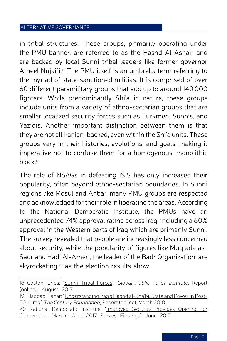in tribal structures. These groups, primarily operating under the PMU banner, are referred to as the Hashd Al-Ashair and are backed by local Sunni tribal leaders like former governor Atheel Nujaifi.<sup>18</sup> The PMU itself is an umbrella term referring to the myriad of state-sanctioned militias. It is comprised of over 60 different paramilitary groups that add up to around 140,000 fighters. While predominantly Shi'a in nature, these groups include units from a variety of ethno-sectarian groups that are smaller localized security forces such as Turkmen, Sunnis, and Yazidis. Another important distinction between them is that they are not all Iranian-backed, even within the Shi'a units. These groups vary in their histories, evolutions, and goals, making it imperative not to confuse them for a homogenous, monolithic block.<sup>19</sup>

The role of NSAGs in defeating ISIS has only increased their popularity, often beyond ethno-sectarian boundaries. In Sunni regions like Mosul and Anbar, many PMU groups are respected and acknowledged for their role in liberating the areas. According to the National Democratic Institute, the PMUs have an unprecedented 74% approval rating across Iraq, including a 60% approval in the Western parts of Iraq which are primarily Sunni. The survey revealed that people are increasingly less concerned about security, while the popularity of figures like Muqtada as-Sadr and Hadi Al-Ameri, the leader of the Badr Organization, are skyrocketing,<sup>20</sup> as the election results show.

<sup>18</sup> Gaston, Erica: "Sunni Tribal [Forces](http://www.gppi.net/publications/sunni-tribal-forces/?L=0%2525252527%2525252522)", *Global Public Policy Institute*, Report (online), August 2017.

<sup>19</sup> Haddad, Fanar: ["Understanding](https://tcf.org/content/report/understanding-iraqs-hashd-al-shabi/) Iraq's Hashd al-Sha'bi. State and Power in Post-[2014](https://tcf.org/content/report/understanding-iraqs-hashd-al-shabi/) Iraq", *The Century Foundation*, Report (online), March 2018.

<sup>20</sup> National Democratic Institute: ["Improved](https://www.ndi.org/publications/improved-security-provides-opening-cooperation-iraq-march-april-2017-survey-findings) Security Provides Opening for [Cooperation, March- April](https://www.ndi.org/publications/improved-security-provides-opening-cooperation-iraq-march-april-2017-survey-findings) 2017 Survey Findings", June 2017.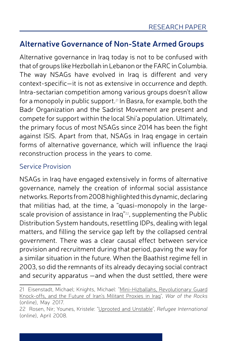# **Alternative Governance of Non-State Armed Groups**

Alternative governance in Iraq today is not to be confused with that of groups like Hezbollah in Lebanon or the FARC in Columbia. The way NSAGs have evolved in Iraq is different and very context-specific—it is not as extensive in occurrence and depth. Intra-sectarian competition among various groups doesn't allow for a monopoly in public support.21 In Basra, for example, both the Badr Organization and the Sadrist Movement are present and compete for support within the local Shi'a population. Ultimately, the primary focus of most NSAGs since 2014 has been the fight against ISIS. Apart from that, NSAGs in Iraq engage in certain forms of alternative governance, which will influence the Iraqi reconstruction process in the years to come.

## Service Provision

NSAGs in Iraq have engaged extensively in forms of alternative governance, namely the creation of informal social assistance networks. Reportsfrom2008highlightedthisdynamic, declaring that militias had, at the time, a "quasi-monopoly in the largescale provision of assistance in Iraq"<sup>22</sup>, supplementing the Public Distribution System handouts, resettling IDPs, dealing with legal matters, and filling the service gap left by the collapsed central government. There was a clear causal effect between service provision and recruitment during that period, paving the way for a similar situation in the future. When the Baathist regime fell in 2003, so did the remnants of its already decaying social contract and security apparatus —and when the dust settled, there were

<sup>21</sup> Eisenstadt, Michael; Knights, Michael: ["Mini-Hizballahs, Revolutionary](https://warontherocks.com/2017/05/mini-hizballahs-revolutionary-guard-knock-offs-and-the-future-of-irans-militant-proxies-in-iraq/) Guard [Knock-offs, and](https://warontherocks.com/2017/05/mini-hizballahs-revolutionary-guard-knock-offs-and-the-future-of-irans-militant-proxies-in-iraq/) the Future of Iran's Militant Proxies in Iraq", *War of the Rocks* (online), May 2017.

<sup>22</sup> Rosen, Nir; Younes, Kristele: ["Uprooted](http://www.aina.org/reports/uaumuhnii.pdf) and Unstable", *Refugee International* (online), April 2008.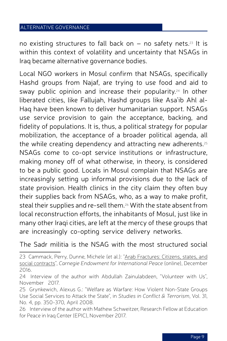no existing structures to fall back on – no safety nets. <sup>23</sup> It is within this context of volatility and uncertainty that NSAGs in Iraq became alternative governance bodies.

Local NGO workers in Mosul confirm that NSAGs, specifically Hashd groups from Najaf, are trying to use food and aid to sway public opinion and increase their popularity. <sup>24</sup> In other liberated cities, like Fallujah, Hashd groups like Asa'ib Ahl al-Haq have been known to deliver humanitarian support. NSAGs use service provision to gain the acceptance, backing, and fidelity of populations. It is, thus, a political strategy for popular mobilization, the acceptance of a broader political agenda, all the while creating dependency and attracting new adherents. $^{25}$ NSAGs come to co-opt service institutions or infrastructure, making money off of what otherwise, in theory, is considered to be a public good. Locals in Mosul complain that NSAGs are increasingly setting up informal provisions due to the lack of state provision. Health clinics in the city claim they often buy their supplies back from NSAGs, who, as a way to make profit, steal their supplies and re-sell them. <sup>26</sup> With the state absent from local reconstruction efforts, the inhabitants of Mosul, just like in many other Iraqi cities, are left at the mercy of these groups that are increasingly co-opting service delivery networks.

The Sadr militia is the NSAG with the most structured social

<sup>23</sup> Cammack, Perry, Dunne, Michele (et al.): "Arab [Fractures: Citizens, states, and](http://carnegieendowment.org/2017/02/01/arab-fractures-citizens-states-and-social-contracts-pub-66612) social [contracts](http://carnegieendowment.org/2017/02/01/arab-fractures-citizens-states-and-social-contracts-pub-66612)", *Carnegie Endowment for International Peace* (online), December 2016.

<sup>24</sup> Interview of the author with Abdullah Zainulabdeen, "Volunteer with Us", November 2017.

<sup>25</sup> Grynkewich, Alexus G.: "Welfare as Warfare: How Violent Non-State Groups Use Social Services to Attack the State", in *Studies in Conflict & Terrorism*, Vol. 31, No. 4, pp. 350-370, April 2008.

<sup>26</sup> Interview of the author with Mathew Schweitzer, Research Fellow at Education for Peace in Iraq Center (EPIC), November 2017.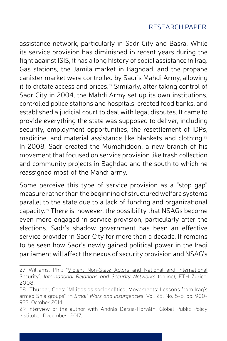assistance network, particularly in Sadr City and Basra. While its service provision has diminished in recent years during the fight against ISIS, it has a long history of social assistance in Iraq. Gas stations, the Jamila market in Baghdad, and the propane canister market were controlled by Sadr's Mahdi Army, allowing it to dictate access and prices. <sup>27</sup> Similarly, after taking control of Sadr City in 2004, the Mahdi Army set up its own institutions, controlled police stations and hospitals, created food banks, and established a judicial court to deal with legal disputes. It came to provide everything the state was supposed to deliver, including security, employment opportunities, the resettlement of IDPs, medicine, and material assistance like blankets and clothing. $^{28}$ In 2008, Sadr created the Mumahidoon, a new branch of his movement that focused on service provision like trash collection and community projects in Baghdad and the south to which he reassigned most of the Mahdi army.

Some perceive this type of service provision as a "stop gap" measure rather than the beginning of structured welfare systems parallel to the state due to a lack of funding and organizational capacity. <sup>29</sup> There is, however, the possibility that NSAGs become even more engaged in service provision, particularly after the elections. Sadr's shadow government has been an effective service provider in Sadr City for more than a decade. It remains to be seen how Sadr's newly gained political power in the Iraqi parliament will affect the nexus of security provision and NSAG's

<sup>27</sup> Williams, Phil: "Violent Non-State Actors and National and [International](https://www.files.ethz.ch/isn/93880/VNSAs.pdf) [Security"](https://www.files.ethz.ch/isn/93880/VNSAs.pdf), *International Relations and Security Networks* (online), ETH Zurich, 2008.

<sup>28</sup> Thurber, Ches: "Militias as sociopolitical Movements: Lessons from Iraq's armed Shia groups", in *Small Wars and Insurgencies*, Vol. 25, No. 5-6, pp. 900- 923, October 2014.

<sup>29</sup> Interview of the author with András Derzsi-Horváth, Global Public Policy Institute, December 2017.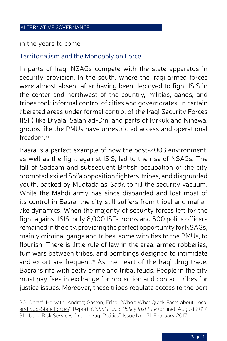in the years to come.

#### Territorialism and the Monopoly on Force

In parts of Iraq, NSAGs compete with the state apparatus in security provision. In the south, where the Iraqi armed forces were almost absent after having been deployed to fight ISIS in the center and northwest of the country, militias, gangs, and tribes took informal control of cities and governorates. In certain liberated areas under formal control of the Iraqi Security Forces (ISF) like Diyala, Salah ad-Din, and parts of Kirkuk and Ninewa, groups like the PMUs have unrestricted access and operational freedom. 30

Basra is a perfect example of how the post-2003 environment, as well as the fight against ISIS, led to the rise of NSAGs. The fall of Saddam and subsequent British occupation of the city prompted exiled Shi'a opposition fighters, tribes, and disgruntled youth, backed by Muqtada as-Sadr, to fill the security vacuum. While the Mahdi army has since disbanded and lost most of its control in Basra, the city still suffers from tribal and mafialike dynamics. When the majority of security forces left for the fight against ISIS, only 8,000 ISF-troops and 500 police officers remained in the city, providing the perfect opportunity for NSAGs, mainly criminal gangs and tribes, some with ties to the PMUs, to flourish. There is little rule of law in the area: armed robberies turf wars between tribes, and bombings designed to intimidate and extort are frequent.<sup>31</sup> As the heart of the Iraqi drug trade, Basra is rife with petty crime and tribal feuds. People in the city must pay fees in exchange for protection and contact tribes for justice issues. Moreover, these tribes regulate access to the port

<sup>30</sup> Derzsi-Horvath, Andras; Gaston, Erica: "Who's [Who: Quick](http://www.gppi.net/publications/quick-facts-about-local-and-sub-state-forces/?L=0%2525252527%2525252522#c2184) Facts about Local and [Sub-State](http://www.gppi.net/publications/quick-facts-about-local-and-sub-state-forces/?L=0%2525252527%2525252522#c2184) Forces", Report, *Global Public Policy Institute* (online), August 2017.

<sup>31</sup> Utica Risk Services: "Inside Iraqi Politics", Issue No. 171, February 2017.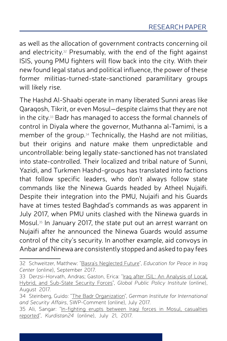as well as the allocation of government contracts concerning oil and electricity. <sup>32</sup> Presumably, with the end of the fight against ISIS, young PMU fighters will flow back into the city. With their new found legal status and political influence, the power of these former militias-turned-state-sanctioned paramilitary groups will likely rise.

The Hashd Al-Shaabi operate in many liberated Sunni areas like Qaraqosh, Tikrit, or even Mosul—despite claims that they are not in the city. <sup>33</sup> Badr has managed to access the formal channels of control in Diyala where the governor, Muthanna al-Tamimi, is a member of the group. <sup>34</sup> Technically, the Hashd are not militias, but their origins and nature make them unpredictable and uncontrollable: being legally state-sanctioned has not translated into state-controlled. Their localized and tribal nature of Sunni, Yazidi, and Turkmen Hashd-groups has translated into factions that follow specific leaders, who don't always follow state commands like the Ninewa Guards headed by Atheel Nujaifi. Despite their integration into the PMU, Nujaifi and his Guards have at times tested Baghdad's commands as was apparent in July 2017, when PMU units clashed with the Ninewa guards in Mosul. <sup>35</sup> In January 2017, the state put out an arrest warrant on Nujaifi after he announced the Ninewa Guards would assume control of the city's security. In another example, aid convoys in Anbar and Ninewa are consistently stopped and asked to pay fees

<sup>32</sup> Schweitzer, Matthew: "Basra's [Neglected](https://www.epic-usa.org/basra-future/) Future", *Education for Peace in Iraq Center* (online), September 2017.

<sup>33</sup> Derzsi-Horvath, Andras; Gaston, Erica: "Iraq after ISIL: An [Analysis](http://www.gppi.net/publications/iraq-after-isil-an-analysis-of-local-regional-and-sub-state-security-forces/) of Local, [Hybrid, and](http://www.gppi.net/publications/iraq-after-isil-an-analysis-of-local-regional-and-sub-state-security-forces/) Sub-State Security Forces", *Global Public Policy Institute* (online), August 2017.

<sup>34</sup> Steinberg, Guido: "The Badr [Organization"](https://www.swp-berlin.org/en/publication/the-badr-organization-irans-instrument-in-iraq/), *German Institute for International and Security Affairs*, SWP-Comment (online), July 2017.

<sup>35</sup> Ali, Sangar: "In-fighting erupts between Iraqi forces in [Mosul, casualties](http://www.kurdistan24.net/en/news/3302e9cd-4981-46e9-9e41-2b4fa24d6cd3) [reported"](http://www.kurdistan24.net/en/news/3302e9cd-4981-46e9-9e41-2b4fa24d6cd3), *Kurdistan24* (online), July 21, 2017.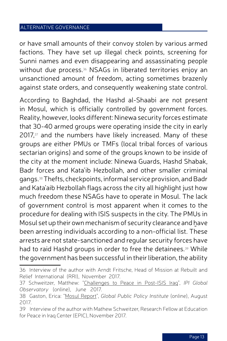or have small amounts of their convoy stolen by various armed factions. They have set up illegal check points, screening for Sunni names and even disappearing and assassinating people without due process. <sup>36</sup> NSAGs in liberated territories enjoy an unsanctioned amount of freedom, acting sometimes brazenly against state orders, and consequently weakening state control.

According to Baghdad, the Hashd al-Shaabi are not present in Mosul, which is officially controlled by government forces. Reality, however, looks different: Ninewa security forces estimate that 30-40 armed groups were operating inside the city in early 2017, <sup>37</sup> and the numbers have likely increased. Many of these groups are either PMUs or TMFs (local tribal forces of various sectarian origins) and some of the groups known to be inside of the city at the moment include: Ninewa Guards, Hashd Shabak, Badr forces and Kata'ib Hezbollah, and other smaller criminal gangs. <sup>38</sup>Thefts, checkpoints, informal serviceprovision, andBadr and Kata'aib Hezbollah flags across the city all highlight just how much freedom these NSAGs have to operate in Mosul. The lack of government control is most apparent when it comes to the procedure for dealing with ISIS suspects in the city. The PMUs in Mosul set up their ownmechanismof security clearance and have been arresting individuals according to a non-official list. These arrests are not state-sanctioned and regular security forces have had to raid Hashd groups in order to free the detainees. <sup>39</sup> While the government has been successful in their liberation, the ability

<sup>36</sup> Interview of the author with Arndt Fritsche, Head of Mission at Rebuilt and Relief International (RRI), November 2017.

<sup>37</sup> Schweitzer, Matthew: "[Challenges](https://theglobalobservatory.org/2017/06/isis-iraq-mosul-security-forces/) to Peace in Post-ISIS Iraq", *IPI Global Observatory* (online), June 2017.

<sup>38</sup> Gaston, Erica: "Mosul [Report"](http://www.gppi.net/publications/iraq-after-isil-mosul/?L=0%25252527%25252522), *Global Public Policy Institute* (online), August 2017.

<sup>39</sup> Interview of the author with Mathew Schweitzer, Research Fellow at Education for Peace in Iraq Center (EPIC), November 2017.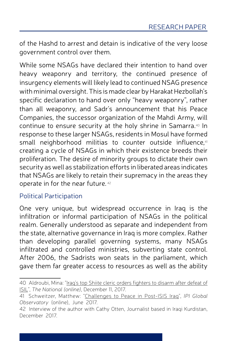of the Hashd to arrest and detain is indicative of the very loose government control over them.

While some NSAGs have declared their intention to hand over heavy weaponry and territory, the continued presence of insurgency elements will likely lead to continued NSAG presence with minimal oversight. This is made clear by Harakat Hezbollah's specific declaration to hand over only "heavy weaponry", rather than all weaponry, and Sadr's announcement that his Peace Companies, the successor organization of the Mahdi Army, will continue to ensure security at the holy shrine in Samarra. <sup>40</sup> In response to these larger NSAGs, residents in Mosul have formed small neighborhood militias to counter outside influence,<sup>41</sup> creating a cycle of NSAGs in which their existence breeds their proliferation. The desire of minority groups to dictate their own security as well as stabilization efforts in liberated areas indicates that NSAGs are likely to retain their supremacy in the areas they operate in for the near future. <sup>42</sup>

## Political Participation

One very unique, but widespread occurrence in Iraq is the infiltration or informal participation of NSAGs in the political realm. Generally understood as separate and independent from the state, alternative governance in Iraq is more complex. Rather than developing parallel governing systems, many NSAGs infiltrated and controlled ministries, subverting state control. After 2006, the Sadrists won seats in the parliament, which gave them far greater access to resources as well as the ability

<sup>40</sup> Aldroubi, Mina: "Iraq's top Shiite cleric orders [fighters](https://www.thenational.ae/world/mena/iraq-s-top-shiite-cleric-orders-fighters-to-disarm-after-defeat-of-isil-1.683529) to disarm after defeat of [ISIL"](https://www.thenational.ae/world/mena/iraq-s-top-shiite-cleric-orders-fighters-to-disarm-after-defeat-of-isil-1.683529), *The National (online)*, December 11, 2017.

<sup>41</sup> Schweitzer, Matthew: ["Challenges](https://theglobalobservatory.org/2017/06/isis-iraq-mosul-security-forces/) to Peace in Post-ISIS Iraq", *IPI Global Observatory* (online), June 2017.

<sup>42</sup> Interview of the author with Cathy Otten, Journalist based in Iraqi Kurdistan, December 2017.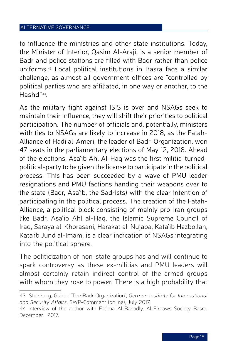to influence the ministries and other state institutions. Today, the Minister of Interior, Qasim Al-Araji, is a senior member of Badr and police stations are filled with Badr rather than police uniforms. <sup>43</sup> Local political institutions in Basra face a similar challenge, as almost all government offices are "controlled by political parties who are affiliated, in one way or another, to the Hashd"44.

As the military fight against ISIS is over and NSAGs seek to maintain their influence, they will shift their priorities to political participation. The number of officials and, potentially, ministers with ties to NSAGs are likely to increase in 2018, as the Fatah-Alliance of Hadi al-Ameri, the leader of Badr-Organization, won 47 seats in the parliamentary elections of May 12, 2018. Ahead of the elections, Asa'ib Ahl Al-Haq was the first militia-turnedpolitical-party to be given the license to participate in the political process. This has been succeeded by a wave of PMU leader resignations and PMU factions handing their weapons over to the state (Badr, Asa'ib, the Sadrists) with the clear intention of participating in the political process. The creation of the Fatah-Alliance, a political block consisting of mainly pro-Iran groups like Badr, Asa'ib Ahl al-Haq, the Islamic Supreme Council of Iraq, Saraya al-Khorasani, Harakat al-Nujaba, Kata'ib Hezbollah, Kata'ib Jund al-Imam, is a clear indication of NSAGs integrating into the political sphere.

The politicization of non-state groups has and will continue to spark controversy as these ex-militias and PMU leaders will almost certainly retain indirect control of the armed groups with whom they rose to power. There is a high probability that

<sup>43</sup> Steinberg, Guido: "The Badr [Organization"](https://www.swp-berlin.org/en/publication/the-badr-organization-irans-instrument-in-iraq/), *German Institute for International and Security Affairs*, SWP-Comment (online), July 2017.

<sup>44</sup> Interview of the author with Fatima Al-Bahadly, Al-Firdaws Society Basra, December 2017.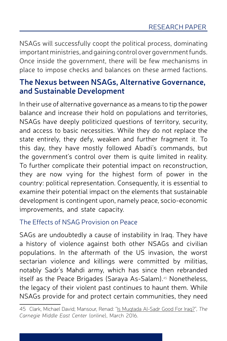NSAGs will successfully coopt the political process, dominating important ministries, and gaining control over government funds. Once inside the government, there will be few mechanisms in place to impose checks and balances on these armed factions.

# **The Nexus between NSAGs, Alternative Governance, and Sustainable Development**

In their use of alternative governance as a means to tip the power balance and increase their hold on populations and territories, NSAGs have deeply politicized questions of territory, security, and access to basic necessities. While they do not replace the state entirely, they defy, weaken and further fragment it. To this day, they have mostly followed Abadi's commands, but the government's control over them is quite limited in reality. To further complicate their potential impact on reconstruction, they are now vying for the highest form of power in the country: political representation. Consequently, it is essential to examine their potential impact on the elements that sustainable development is contingent upon, namely peace, socio-economic improvements, and state capacity.

# The Effects of NSAG Provision on Peace

SAGs are undoubtedly a cause of instability in Iraq. They have a history of violence against both other NSAGs and civilian populations. In the aftermath of the US invasion, the worst sectarian violence and killings were committed by militias, notably Sadr's Mahdi army, which has since then rebranded itself as the Peace Brigades (Saraya As-Salam).<sup>45</sup> Nonetheless, the legacy of their violent past continues to haunt them. While NSAGs provide for and protect certain communities, they need

<sup>45</sup> Clark, Michael David; Mansour, Renad: "Is [Muqtada](http://carnegie-mec.org/2016/05/02/is-muqtada-al-sadr-good-for-iraq-pub-63501) Al-Sadr Good For Iraq?", *The Carnegie Middle East Center* (online), March 2016.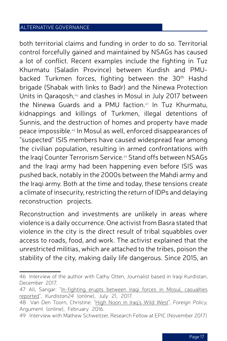both territorial claims and funding in order to do so. Territorial control forcefully gained and maintained by NSAGs has caused a lot of conflict. Recent examples include the fighting in Tuz Khurmatu (Saladin Province) between Kurdish and PMUbacked Turkmen forces, fighting between the 30<sup>th</sup> Hashd brigade (Shabak with links to Badr) and the Ninewa Protection Units in Qaraqosh, <sup>46</sup> and clashes in Mosul in July 2017 between the Ninewa Guards and a PMU faction. <sup>47</sup> In Tuz Khurmatu, kidnappings and killings of Turkmen, illegal detentions of Sunnis, and the destruction of homes and property have made peace impossible. <sup>48</sup> In Mosul as well, enforced disappearances of "suspected" ISIS members have caused widespread fear among the civilian population, resulting in armed confrontations with the Iraqi Counter Terrorism Service. <sup>49</sup> Stand offs between NSAGs and the Iraqi army had been happening even before ISIS was pushed back, notably in the 2000s between the Mahdi army and the Iraqi army. Both at the time and today, these tensions create a climate of insecurity, restricting the return of IDPs and delaying reconstruction projects.

Reconstruction and investments are unlikely in areas where violence is a daily occurrence. One activist from Basra stated that violence in the city is the direct result of tribal squabbles over access to roads, food, and work. The activist explained that the unrestricted militias, which are attached to the tribes, poison the stability of the city, making daily life dangerous. Since 2015, an

<sup>46</sup> Interview of the author with Cathy Otten, Journalist based in Iraqi Kurdistan, December 2017.

<sup>47</sup> Ali, Sangar: "In-fighting erupts between Iraqi forces in [Mosul, casualties](http://www.kurdistan24.net/en/news/3302e9cd-4981-46e9-9e41-2b4fa24d6cd3) [reported"](http://www.kurdistan24.net/en/news/3302e9cd-4981-46e9-9e41-2b4fa24d6cd3), *Kurdistan24* (online), July 21, 2017.

<sup>48</sup> Van Den Toorn, Christine: "High [Noon](http://foreignpolicy.com/2016/02/22/high-noon-in-iraqs-wild-west/) in Iraq's Wild West", *Foreign Policy,*  Argument (online), February 2016.

<sup>49</sup> Interview with Mathew Schweitzer, Research Fellow at EPIC (November 2017)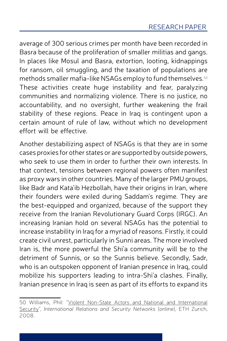average of 300 serious crimes per month have been recorded in Basra because of the proliferation of smaller militias and gangs. In places like Mosul and Basra, extortion, looting, kidnappings for ransom, oil smuggling, and the taxation of populations are methods smaller mafia-like NSAGs employ to fund themselves. $^{\mathfrak{so}}$ These activities create huge instability and fear, paralyzing communities and normalizing violence. There is no justice, no accountability, and no oversight, further weakening the frail stability of these regions. Peace in Iraq is contingent upon a certain amount of rule of law, without which no development effort will be effective.

Another destabilizing aspect of NSAGs is that they are in some cases proxies for other states or are supported by outside powers, who seek to use them in order to further their own interests. In that context, tensions between regional powers often manifest as proxy wars in other countries. Many of the larger PMU groups, like Badr and Kata'ib Hezbollah, have their origins in Iran, where their founders were exiled during Saddam's regime. They are the best-equipped and organized, because of the support they receive from the Iranian Revolutionary Guard Corps (IRGC). An increasing Iranian hold on several NSAGs has the potential to increase instability in Iraq for a myriad of reasons. Firstly, it could create civil unrest, particularly in Sunni areas. The more involved Iran is, the more powerful the Shi'a community will be to the detriment of Sunnis, or so the Sunnis believe. Secondly, Sadr, who is an outspoken opponent of Iranian presence in Iraq, could mobilize his supporters leading to intra-Shi'a clashes. Finally, Iranian presence in Iraq is seen as part of its efforts to expand its

<sup>50</sup> Williams, Phil: "Violent Non-State Actors and National and [International](https://www.files.ethz.ch/isn/93880/VNSAs.pdf) [Security"](https://www.files.ethz.ch/isn/93880/VNSAs.pdf), *International Relations and Security Networks* (online), ETH Zurich, 2008.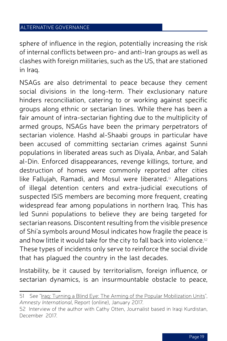sphere of influence in the region, potentially increasing the risk of internal conflicts between pro- and anti-Iran groups as well as clashes with foreign militaries, such as the US, that are stationed in Iraq.

NSAGs are also detrimental to peace because they cement social divisions in the long-term. Their exclusionary nature hinders reconciliation, catering to or working against specific groups along ethnic or sectarian lines. While there has been a fair amount of intra-sectarian fighting due to the multiplicity of armed groups, NSAGs have been the primary perpetrators of sectarian violence. Hashd al-Shaabi groups in particular have been accused of committing sectarian crimes against Sunni populations in liberated areas such as Diyala, Anbar, and Salah al-Din. Enforced disappearances, revenge killings, torture, and destruction of homes were commonly reported after cities like Fallujah, Ramadi, and Mosul were liberated. <sup>51</sup> Allegations of illegal detention centers and extra-judicial executions of suspected ISIS members are becoming more frequent, creating widespread fear among populations in northern Iraq. This has led Sunni populations to believe they are being targeted for sectarian reasons. Discontent resulting from the visible presence of Shi'a symbols around Mosul indicates how fragile the peace is and how little it would take for the city to fall back into violence.<sup>52</sup> These types of incidents only serve to reinforce the social divide that has plagued the country in the last decades.

Instability, be it caused by territorialism, foreign influence, or sectarian dynamics, is an insurmountable obstacle to peace,

<sup>51</sup> See "[Iraq: Turning](https://www.amnesty.org/download/Documents/MDE1453862017ENGLISH.PDF) a Blind Eye: The Arming of the Popular Mobilization Units", *Amnesty International*, Report (online), January 2017.

<sup>52</sup> Interview of the author with Cathy Otten, Journalist based in Iraqi Kurdistan, December 2017.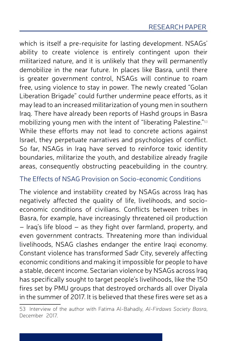which is itself a pre-requisite for lasting development. NSAGs' ability to create violence is entirely contingent upon their militarized nature, and it is unlikely that they will permanently demobilize in the near future. In places like Basra, until there is greater government control, NSAGs will continue to roam free, using violence to stay in power. The newly created "Golan Liberation Brigade" could further undermine peace efforts, as it may lead to an increased militarization of young men in southern Iraq. There have already been reports of Hashd groups in Basra mobilizing young men with the intent of "liberating Palestine."<sup>53</sup> While these efforts may not lead to concrete actions against Israel, they perpetuate narratives and psychologies of conflict. So far, NSAGs in Iraq have served to reinforce toxic identity boundaries, militarize the youth, and destabilize already fragile areas, consequently obstructing peacebuilding in the country.

## The Effects of NSAG Provision on Socio-economic Conditions

The violence and instability created by NSAGs across Iraq has negatively affected the quality of life, livelihoods, and socioeconomic conditions of civilians. Conflicts between tribes in Basra, for example, have increasingly threatened oil production – Iraq's life blood – as they fight over farmland, property, and even government contracts. Threatening more than individual livelihoods, NSAG clashes endanger the entire Iraqi economy. Constant violence has transformed Sadr City, severely affecting economic conditions and making it impossible for people to have a stable, decent income. Sectarian violence by NSAGs across Iraq has specifically sought to target people's livelihoods, like the 150 fires set by PMU groups that destroyed orchards all over Diyala in the summer of 2017. It is believed that these fires were set as a

<sup>53</sup> Interview of the author with Fatima Al-Bahadly, *Al-Firdaws Society Basra*, December 2017.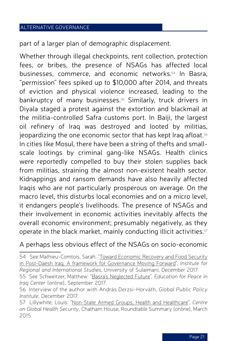part of a larger plan of demographic displacement.

Whether through illegal checkpoints, rent collection, protection fees, or bribes, the presence of NSAGs has affected local businesses, commerce, and economic networks. <sup>54</sup> In Basra, "permission" fees spiked up to \$10,000 after 2014, and threats of eviction and physical violence increased, leading to the bankruptcy of many businesses. <sup>55</sup> Similarly, truck drivers in Diyala staged a protest against the extortion and blackmail at the militia-controlled Safra customs port. In Baiji, the largest oil refinery of Iraq was destroyed and looted by militias, jeopardizing the one economic sector that has kept Iraq afloat. $^{\mathsf{56}}$ In cities like Mosul, there have been a string of thefts and smallscale lootings by criminal gang-like NSAGs. Health clinics were reportedly compelled to buy their stolen supplies back from militias, straining the almost non-existent health sector. Kidnappings and ransom demands have also heavily affected Iraqis who are not particularly prosperous on average. On the macro level, this disturbs local economies and on a micro level, it endangers people's livelihoods. The presence of NSAGs and their involvement in economic activities inevitably affects the overall economic environment; presumably negatively, as they operate in the black market, mainly conducting illicit activities. 57

A perhaps less obvious effect of the NSAGs on socio-economic

54 See Mathieu-Comtois, Sarah: "Toward [Economic](http://auis.edu.krd/iris/sites/default/files/FSED Report final.pdf) Recovery and Food Security in Post-Daesh Iraq. A framework for [Governance](http://auis.edu.krd/iris/sites/default/files/FSED Report final.pdf) Moving Forward", *Institute for Regional and International Studies*, University of Sulaimani, December 2017.

<sup>55</sup> See Schweitzer, Matthew: "Basra's [Neglected](https://www.epic-usa.org/basra-future/) Future", *Education for Peace in Iraq Center* (online), September 2017.

<sup>56</sup> Interview of the author with András Derzsi-Horváth, *Global Public Policy Institute*, December 2017.

<sup>57</sup> Lillywhite, Louis: "Non-State Armed [Groups, Health](https://www.chathamhouse.org/sites/files/chathamhouse/events/special/NSAGs Meeting Summary in template - final edit from Jo - ER- PKA 27.10.15.pdf) and Healthcare", *Centre on Global Health Security*, Chatham House, Roundtable Summary (online), March 2015.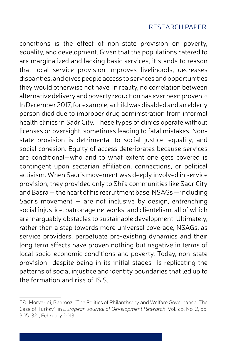conditions is the effect of non-state provision on poverty, equality, and development. Given that the populations catered to are marginalized and lacking basic services, it stands to reason that local service provision improves livelihoods, decreases disparities, and gives people access to services and opportunities they would otherwise not have. In reality, no correlation between alternative delivery and poverty reduction has ever been proven.  $^{\text{\tiny{58}}}$ InDecember2017, for example, a childwasdisabledandanelderly person died due to improper drug administration from informal health clinics in Sadr City. These types of clinics operate without licenses or oversight, sometimes leading to fatal mistakes. Nonstate provision is detrimental to social justice, equality, and social cohesion. Equity of access deteriorates because services are conditional—who and to what extent one gets covered is contingent upon sectarian affiliation, connections, or political activism. When Sadr's movement was deeply involved in service provision, they provided only to Shi'a communities like Sadr City and Basra – the heart of his recruitment base. NSAGs – including Sadr's movement — are not inclusive by design, entrenching social injustice, patronage networks, and clientelism, all of which are inarguably obstacles to sustainable development. Ultimately, rather than a step towards more universal coverage, NSAGs, as service providers, perpetuate pre-existing dynamics and their long term effects have proven nothing but negative in terms of local socio-economic conditions and poverty. Today, non-state provision—despite being in its initial stages—is replicating the patterns of social injustice and identity boundaries that led up to the formation and rise of ISIS.

<sup>58</sup> Morvaridi, Behrooz: "The Politics of Philanthropy and Welfare Governance: The Case of Turkey", in *European Journal of Development Research*, Vol. 25, No. 2, pp. 305-321, February 2013.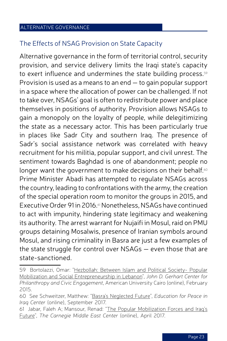### The Effects of NSAG Provision on State Capacity

Alternative governance in the form of territorial control, security provision, and service delivery limits the Iraqi state's capacity to exert influence and undermines the state building process. 59 Provision is used as a means to an end — to gain popular support in a space where the allocation of power can be challenged. If not to take over, NSAGs' goal is often to redistribute power and place themselves in positions of authority. Provision allows NSAGs to gain a monopoly on the loyalty of people, while delegitimizing the state as a necessary actor. This has been particularly true in places like Sadr City and southern Iraq. The presence of Sadr's social assistance network was correlated with heavy recruitment for his militia, popular support, and civil unrest. The sentiment towards Baghdad is one of abandonment; people no longer want the government to make decisions on their behalf. $\cdot ^{\circ}$ Prime Minister Abadi has attempted to regulate NSAGs across the country, leading to confrontations with the army, the creation of the special operation room to monitor the groups in 2015, and ExecutiveOrder 91in 2016. <sup>61</sup> Nonetheless, NSAGs have continued to act with impunity, hindering state legitimacy and weakening its authority. The arrest warrant for Nujaifi in Mosul, raid on PMU groups detaining Mosalwis, presence of Iranian symbols around Mosul, and rising criminality in Basra are just a few examples of the state struggle for control over NSAGs — even those that are state-sanctioned.

61 Jabar, Faleh A; Mansour, Renad: "The Popular [Mobilization](http://carnegie-mec.org/2017/04/28/popular-mobilization-forces-and-iraq-s-future-pub-68810) Forces and Iraq's [Future"](http://carnegie-mec.org/2017/04/28/popular-mobilization-forces-and-iraq-s-future-pub-68810), *The Carnegie Middle East Center* (online), April 2017.

<sup>59</sup> Bortolazzi, Omar: "[Hezbollah: Between](http://dar.aucegypt.edu/bitstream/handle/10526/4300/Hezbollah Between Islam and Political Society Popular Mobilization and Social Entrepreneurship in Lebanon 32-51.pdf?sequence=1) Islam and Political Society- Popular Mobilization and Social [Entrepreneurship](http://dar.aucegypt.edu/bitstream/handle/10526/4300/Hezbollah Between Islam and Political Society Popular Mobilization and Social Entrepreneurship in Lebanon 32-51.pdf?sequence=1) in Lebanon", *John D. Gerhart Center for Philanthropy and Civic Engagement*, American University Cairo (online), February 2015.

<sup>60</sup> See Schweitzer, Matthew: "Basra's [Neglected](https://www.epic-usa.org/basra-future/) Future", *Education for Peace in Iraq Center* (online), September 2017.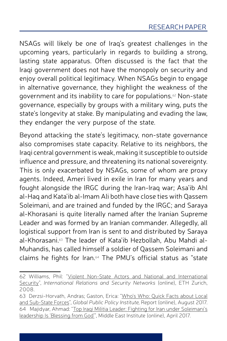NSAGs will likely be one of Iraq's greatest challenges in the upcoming years, particularly in regards to building a strong, lasting state apparatus. Often discussed is the fact that the Iraqi government does not have the monopoly on security and enjoy overall political legitimacy. When NSAGs begin to engage in alternative governance, they highlight the weakness of the government and its inability to care for populations. <sup>62</sup> Non-state governance, especially by groups with a military wing, puts the state's longevity at stake. By manipulating and evading the law, they endanger the very purpose of the state.

Beyond attacking the state's legitimacy, non-state governance also compromises state capacity. Relative to its neighbors, the Iragi central government is weak, making it susceptible to outside influence and pressure, and threatening its national sovereignty. This is only exacerbated by NSAGs, some of whom are proxy agents. Indeed, Ameri lived in exile in Iran for many years and fought alongside the IRGC during the Iran-Iraq war; Asa'ib Ahl al-Haq and Kata'ib al-Imam Ali both have close ties with Qassem Soleimani, and are trained and funded by the IRGC; and Saraya al-Khorasani is quite literally named after the Iranian Supreme Leader and was formed by an Iranian commander. Allegedly, all logistical support from Iran is sent to and distributed by Saraya al-Khorasani. <sup>63</sup> The leader of Kata'ib Hezbollah, Abu Mahdi al-Muhandis, has called himself a soldier of Qassem Soleimani and claims he fights for Iran. <sup>64</sup> The PMU's official status as "state

<sup>62</sup> Williams, Phil: "Violent Non-State Actors and National and [International](https://www.files.ethz.ch/isn/93880/VNSAs.pdf) [Security"](https://www.files.ethz.ch/isn/93880/VNSAs.pdf), *International Relations and Security Networks* (online), ETH Zurich, 2008.

<sup>63</sup> Derzsi-Horvath, Andras; Gaston, Erica: "Who's [Who: Quick](http://www.gppi.net/publications/quick-facts-about-local-and-sub-state-forces/?L=0%2525252527%2525252522#c2184) Facts about Local and [Sub-State](http://www.gppi.net/publications/quick-facts-about-local-and-sub-state-forces/?L=0%2525252527%2525252522#c2184) Forces", *Global Public Policy Institute,* Report (online), August 2017. 64 Majidyar, Ahmad: "Top Iraqi Militia [Leader: Fighting](http://www.mei.edu/content/io/top-iraqi-militia-leader-fighting-iran-under-soleimanis-leadership-blessing-god) for Iran under Soleimani's leadership [Is 'Blessing](http://www.mei.edu/content/io/top-iraqi-militia-leader-fighting-iran-under-soleimanis-leadership-blessing-god) from God'", Middle East Institute (online), April 2017.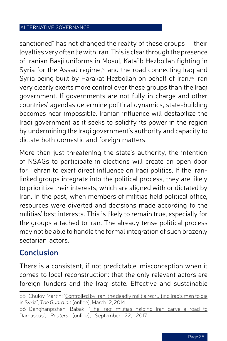sanctioned" has not changed the reality of these groups — their loyalties very often lie with Iran. This is clear through the presence of Iranian Basii uniforms in Mosul, Kata'ib Hezbollah fighting in Syria for the Assad regime,<sup>65</sup> and the road connecting Iraq and Syria being built by Harakat Hezbollah on behalf of Iran.<sup>66</sup> Iran very clearly exerts more control over these groups than the Iraqi government. If governments are not fully in charge and other countries' agendas determine political dynamics, state-building becomes near impossible. Iranian influence will destabilize the Iragi government as it seeks to solidify its power in the region by undermining the Iraqi government's authority and capacity to dictate both domestic and foreign matters.

More than just threatening the state's authority, the intention of NSAGs to participate in elections will create an open door for Tehran to exert direct influence on Iraqi politics. If the Iranlinked groups integrate into the political process, they are likely to prioritize their interests, which are aligned with or dictated by Iran. In the past, when members of militias held political office, resources were diverted and decisions made according to the militias' best interests. This is likely to remain true, especially for the groups attached to Iran. The already tense political process may not be able to handle the formal integration of such brazenly sectarian actors.

# **Conclusion**

There is a consistent, if not predictable, misconception when it comes to local reconstruction: that the only relevant actors are foreign funders and the Iraqi state. Effective and sustainable

65 Chulov, Martin: ["Controlled](https://www.theguardian.com/world/2014/mar/12/iraq-battle-dead-valley-peace-syria) by Iran, the deadly militia recruiting Iraq's men to die in [Syria"](https://www.theguardian.com/world/2014/mar/12/iraq-battle-dead-valley-peace-syria), *The Guardian* (online), March 12, 2014. 66 Dehghanpisheh, Babak: "The Iraqi militias [helping](https://www.reuters.com/investigates/special-report/mideast-crisis-iraq-nujaba/) Iran carve a road to [Damascus](https://www.reuters.com/investigates/special-report/mideast-crisis-iraq-nujaba/)", *Reuters* (online), September 22, 2017.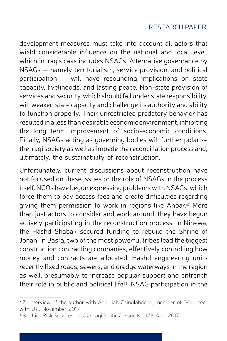development measures must take into account all actors that wield considerable influence on the national and local level, which in Iraq's case includes NSAGs. Alternative governance by NSAGs — namely territorialism, service provision, and political participation — will have resounding implications on state capacity, livelihoods, and lasting peace. Non-state provision of services and security, which should fall under state responsibility, will weaken state capacity and challenge its authority and ability to function properly. Their unrestricted predatory behavior has resultedina less thandesirable economic environment, inhibiting the long term improvement of socio-economic conditions. Finally, NSAGs acting as governing bodies will further polarize the Iraqi society as well as impede the reconciliation process and, ultimately, the sustainability of reconstruction.

Unfortunately, current discussions about reconstruction have not focused on these issues or the role of NSAGs in the process itself. NGOs have begun expressing problems with NSAGs, which force them to pay access fees and create difficulties regarding giving them permission to work in regions like Anbar. $\mathrm{^{\scriptscriptstyle{67}}}$  More than just actors to consider and work around, they have begun actively participating in the reconstruction process. In Ninewa, the Hashd Shabak secured funding to rebuild the Shrine of Jonah. In Basra, two of the most powerful tribes lead the biggest construction contracting companies, effectively controlling how money and contracts are allocated. Hashd engineering units recently fixed roads, sewers, and dredge waterways in the region as well, presumably to increase popular support and entrench their role in public and political life<sup>68</sup>. NSAG participation in the

<sup>67</sup> Interview of the author with Abdullah Zainulabdeen, member of "Volunteer with Us", November 2017.

<sup>68</sup> Utica Risk Services: "Inside Iraqi Politics", Issue No. 173, April 2017.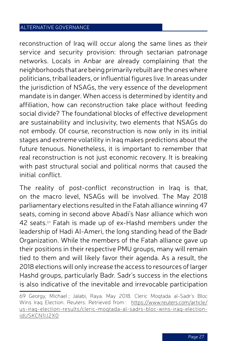reconstruction of Iraq will occur along the same lines as their service and security provision: through sectarian patronage networks. Locals in Anbar are already complaining that the neighborhoods that arebeingprimarilyrebuilt are theoneswhere politicians, tribal leaders, orinfluential figures live. In areas under the jurisdiction of NSAGs, the very essence of the development mandate is in danger. When access is determined by identity and affiliation, how can reconstruction take place without feeding social divide? The foundational blocks of effective development are sustainability and inclusivity, two elements that NSAGs do not embody. Of course, reconstruction is now only in its initial stages and extreme volatility in Iraq makes predictions about the future tenuous. Nonetheless, it is important to remember that real reconstruction is not just economic recovery. It is breaking with past structural social and political norms that caused the initial conflict.

The reality of post-conflict reconstruction in Iraq is that, on the macro level, NSAGs will be involved. The May 2018 parliamentary elections resulted in the Fatah alliance winning 47 seats, coming in second above Abadi's Nasr alliance which won 42 seats.<sup>69</sup> Fatah is made up of ex-Hashd members under the leadership of Hadi Al-Ameri, the long standing head of the Badr Organization. While the members of the Fatah alliance gave up their positions in their respective PMU groups, many will remain tied to them and will likely favor their agenda. As a result, the 2018 elections will only increase the access to resources of larger Hashd groups, particularly Badr. Sadr's success in the elections is also indicative of the inevitable and irrevocable participation

<sup>69</sup> Georgy, Michael ; Jalabi, Raya. May 2018. Cleric Moqtada al-Sadr's Bloc Wins Iraq Election. Reuters. Retrieved from : [https://www.reuters.com/article/](https://www.reuters.com/article/us-iraq-election-results/cleric-moqtada-al-sadrs-bloc-wins-iraq-election-idUSKCN1IJ2X0) [us-iraq-election-results/cleric-moqtada-al-sadrs-bloc-wins-iraq-election](https://www.reuters.com/article/us-iraq-election-results/cleric-moqtada-al-sadrs-bloc-wins-iraq-election-idUSKCN1IJ2X0)[idUSKCN1IJ2X0](https://www.reuters.com/article/us-iraq-election-results/cleric-moqtada-al-sadrs-bloc-wins-iraq-election-idUSKCN1IJ2X0)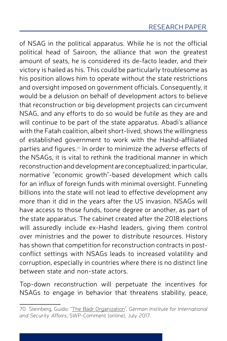of NSAG in the political apparatus. While he is not the official political head of Sairoon, the alliance that won the greatest amount of seats, he is considered its de-facto leader, and their victory is hailed as his. This could be particularly troublesome as his position allows him to operate without the state restrictions and oversight imposed on government officials. Consequently, it would be a delusion on behalf of development actors to believe that reconstruction or big development projects can circumvent NSAG, and any efforts to do so would be futile as they are and will continue to be part of the state apparatus. Abadi's alliance with the Fatah coalition, albeit short-lived, shows the willingness of established government to work with the Hashd-affiliated parties and figures. $^\mathit{\scriptscriptstyle{T}}$  In order to minimize the adverse effects of the NSAGs, it is vital to rethink the traditional manner in which reconstructionanddevelopmentareconceptualized; inparticular, normative "economic growth"-based development which calls for an influx of foreign funds with minimal oversight. Funneling billions into the state will not lead to effective development any more than it did in the years after the US invasion. NSAGs will have access to those funds, toone degree or another, as part of the state apparatus. The cabinet created after the 2018 elections will assuredly include ex-Hashd leaders, giving them control over ministries and the power to distribute resources. History has shown that competition for reconstruction contracts in postconflict settings with NSAGs leads to increased volatility and corruption, especially in countries where there is no distinct line between state and non-state actors.

Top-down reconstruction will perpetuate the incentives for NSAGs to engage in behavior that threatens stability, peace,

<sup>70</sup> Steinberg, Guido: "The Badr [Organization](https://www.swp-berlin.org/en/publication/the-badr-organization-irans-instrument-in-iraq/)", *German Institute for International and Security Affairs*, SWP-Comment (online), July 2017.